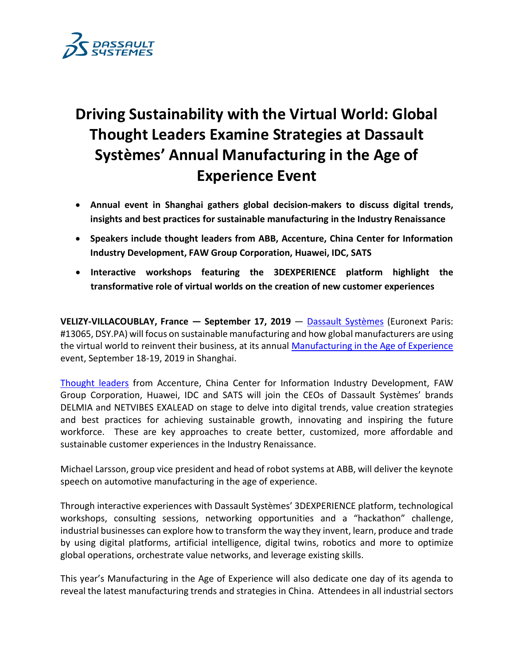

# **Driving Sustainability with the Virtual World: Global Thought Leaders Examine Strategies at Dassault Systèmes' Annual Manufacturing in the Age of Experience Event**

- **Annual event in Shanghai gathers global decision-makers to discuss digital trends, insights and best practices for sustainable manufacturing in the Industry Renaissance**
- **Speakers include thought leaders from ABB, Accenture, China Center for Information Industry Development, FAW Group Corporation, Huawei, IDC, SATS**
- **Interactive workshops featuring the 3DEXPERIENCE platform highlight the transformative role of virtual worlds on the creation of new customer experiences**

**VELIZY-VILLACOUBLAY, France — September 17, 2019** — [Dassault Systèmes](http://www.3ds.com/) (Euronext Paris: #13065, DSY.PA) will focus on sustainable manufacturing and how global manufacturers are using the virtual world to reinvent their business, at its annual [Manufacturing in the Age of Experience](https://events.3ds.com/manufacturing-age-of-experience) event, September 18-19, 2019 in Shanghai.

[Thought leaders](https://events.3ds.com/manufacturing-age-of-experience/speakers) from Accenture, China Center for Information Industry Development, FAW Group Corporation, Huawei, IDC and SATS will join the CEOs of Dassault Systèmes' brands DELMIA and NETVIBES EXALEAD on stage to delve into digital trends, value creation strategies and best practices for achieving sustainable growth, innovating and inspiring the future workforce. These are key approaches to create better, customized, more affordable and sustainable customer experiences in the Industry Renaissance.

Michael Larsson, group vice president and head of robot systems at ABB, will deliver the keynote speech on automotive manufacturing in the age of experience.

Through interactive experiences with Dassault Systèmes' 3DEXPERIENCE platform, technological workshops, consulting sessions, networking opportunities and a "hackathon" challenge, industrial businesses can explore how to transform the way they invent, learn, produce and trade by using digital platforms, artificial intelligence, digital twins, robotics and more to optimize global operations, orchestrate value networks, and leverage existing skills.

This year's Manufacturing in the Age of Experience will also dedicate one day of its agenda to reveal the latest manufacturing trends and strategies in China. Attendees in all industrial sectors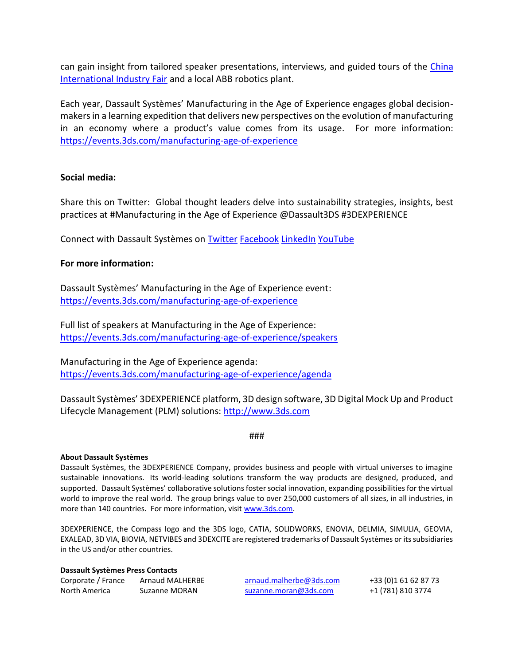can gain insight from tailored speaker presentations, interviews, and guided tours of the [China](http://www.ciif-expo.com/en/)  [International Industry Fair](http://www.ciif-expo.com/en/) and a local ABB robotics plant.

Each year, Dassault Systèmes' Manufacturing in the Age of Experience engages global decisionmakers in a learning expedition that delivers new perspectives on the evolution of manufacturing in an economy where a product's value comes from its usage. For more information: <https://events.3ds.com/manufacturing-age-of-experience>

## **Social media:**

Share this on Twitter: Global thought leaders delve into sustainability strategies, insights, best practices at #Manufacturing in the Age of Experience @Dassault3DS #3DEXPERIENCE

Connect with Dassault Systèmes on [Twitter](https://twitter.com/Dassault3DS) [Facebook](https://www.facebook.com/DassaultSystemes) [LinkedIn](https://www.linkedin.com/company/dassaultsystemes) [YouTube](https://www.youtube.com/DassaultSystemes)

## **For more information:**

Dassault Systèmes' Manufacturing in the Age of Experience event: <https://events.3ds.com/manufacturing-age-of-experience>

Full list of speakers at Manufacturing in the Age of Experience: <https://events.3ds.com/manufacturing-age-of-experience/speakers>

Manufacturing in the Age of Experience agenda: <https://events.3ds.com/manufacturing-age-of-experience/agenda>

Dassault Systèmes' 3DEXPERIENCE platform, 3D design software, 3D Digital Mock Up and Product Lifecycle Management (PLM) solutions: [http://www.3ds.com](http://www.3ds.com/)

###

#### **About Dassault Systèmes**

Dassault Systèmes, the 3DEXPERIENCE Company, provides business and people with virtual universes to imagine sustainable innovations. Its world-leading solutions transform the way products are designed, produced, and supported. Dassault Systèmes' collaborative solutions foster social innovation, expanding possibilities for the virtual world to improve the real world. The group brings value to over 250,000 customers of all sizes, in all industries, in more than 140 countries. For more information, visi[t www.3ds.com.](http://www.3ds.com/)

3DEXPERIENCE, the Compass logo and the 3DS logo, CATIA, SOLIDWORKS, ENOVIA, DELMIA, SIMULIA, GEOVIA, EXALEAD, 3D VIA, BIOVIA, NETVIBES and 3DEXCITE are registered trademarks of Dassault Systèmes or its subsidiaries in the US and/or other countries.

#### **Dassault Systèmes Press Contacts**

| Corporate / France | <b>Arnaud MALHERE</b> |
|--------------------|-----------------------|
| North America      | Suzanne MORAN         |

Corporate / France Arnaud MALHERBE [arnaud.malherbe@3ds.com](mailto:arnaud.malherbe@3ds.com) +33 (0)1 61 62 87 73  $Suzanne.moran@3ds.com$  +1 (781) 810 3774